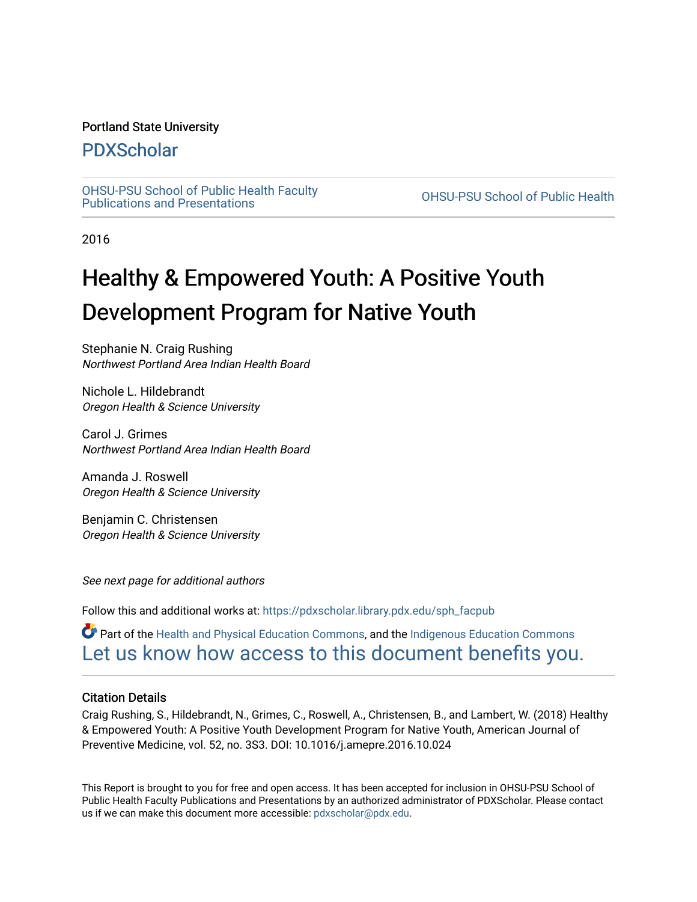#### Portland State University

### [PDXScholar](https://pdxscholar.library.pdx.edu/)

[OHSU-PSU School of Public Health Faculty](https://pdxscholar.library.pdx.edu/sph_facpub) [Publications and Presentations](https://pdxscholar.library.pdx.edu/sph_facpub) [OHSU-PSU School of Public Health](https://pdxscholar.library.pdx.edu/sph) 

2016

# Healthy & Empowered Youth: A Positive Youth Development Program for Native Youth

Stephanie N. Craig Rushing Northwest Portland Area Indian Health Board

Nichole L. Hildebrandt Oregon Health & Science University

Carol J. Grimes Northwest Portland Area Indian Health Board

Amanda J. Roswell Oregon Health & Science University

Benjamin C. Christensen Oregon Health & Science University

See next page for additional authors

Follow this and additional works at: [https://pdxscholar.library.pdx.edu/sph\\_facpub](https://pdxscholar.library.pdx.edu/sph_facpub?utm_source=pdxscholar.library.pdx.edu%2Fsph_facpub%2F104&utm_medium=PDF&utm_campaign=PDFCoverPages) 

Part of the [Health and Physical Education Commons](http://network.bepress.com/hgg/discipline/1327?utm_source=pdxscholar.library.pdx.edu%2Fsph_facpub%2F104&utm_medium=PDF&utm_campaign=PDFCoverPages), and the [Indigenous Education Commons](http://network.bepress.com/hgg/discipline/1379?utm_source=pdxscholar.library.pdx.edu%2Fsph_facpub%2F104&utm_medium=PDF&utm_campaign=PDFCoverPages)  [Let us know how access to this document benefits you.](http://library.pdx.edu/services/pdxscholar-services/pdxscholar-feedback/?ref=https://pdxscholar.library.pdx.edu/sph_facpub/104) 

#### Citation Details

Craig Rushing, S., Hildebrandt, N., Grimes, C., Roswell, A., Christensen, B., and Lambert, W. (2018) Healthy & Empowered Youth: A Positive Youth Development Program for Native Youth, American Journal of Preventive Medicine, vol. 52, no. 3S3. DOI: 10.1016/j.amepre.2016.10.024

This Report is brought to you for free and open access. It has been accepted for inclusion in OHSU-PSU School of Public Health Faculty Publications and Presentations by an authorized administrator of PDXScholar. Please contact us if we can make this document more accessible: [pdxscholar@pdx.edu.](mailto:pdxscholar@pdx.edu)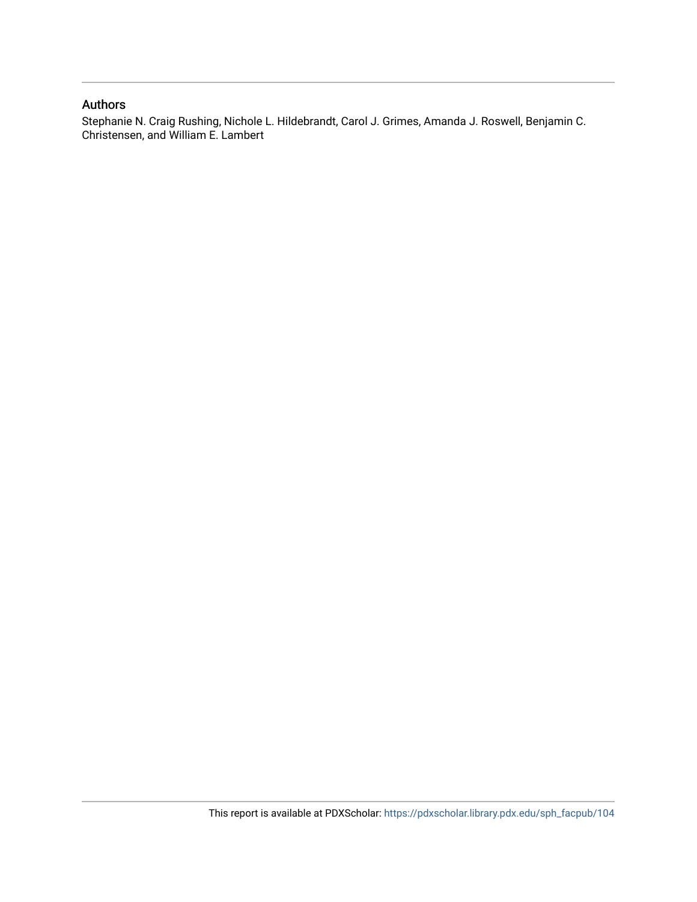#### Authors

Stephanie N. Craig Rushing, Nichole L. Hildebrandt, Carol J. Grimes, Amanda J. Roswell, Benjamin C. Christensen, and William E. Lambert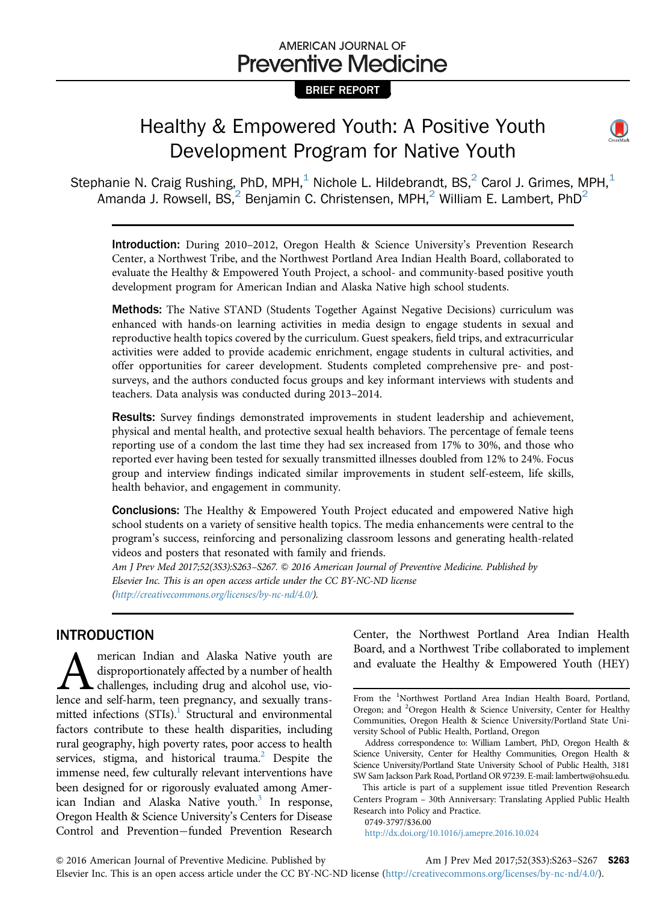## AMERICAN JOURNAL OF **Preventive Medicine**

#### BRIEF REPORT

# Healthy & Empowered Youth: A Positive Youth Development Program for Native Youth



Stephanie N. Craig Rushing, PhD, MPH, $<sup>1</sup>$  Nichole L. Hildebrandt, BS, $<sup>2</sup>$  Carol J. Grimes, MPH, $<sup>1</sup>$ </sup></sup></sup> Amanda J. Rowsell,  $BS<sub>1</sub><sup>2</sup>$  Benjamin C. Christensen, MPH,<sup>2</sup> William E. Lambert, PhD<sup>2</sup>

Introduction: During 2010–2012, Oregon Health & Science University's Prevention Research Center, a Northwest Tribe, and the Northwest Portland Area Indian Health Board, collaborated to evaluate the Healthy & Empowered Youth Project, a school- and community-based positive youth development program for American Indian and Alaska Native high school students.

Methods: The Native STAND (Students Together Against Negative Decisions) curriculum was enhanced with hands-on learning activities in media design to engage students in sexual and reproductive health topics covered by the curriculum. Guest speakers, field trips, and extracurricular activities were added to provide academic enrichment, engage students in cultural activities, and offer opportunities for career development. Students completed comprehensive pre- and postsurveys, and the authors conducted focus groups and key informant interviews with students and teachers. Data analysis was conducted during 2013–2014.

Results: Survey findings demonstrated improvements in student leadership and achievement, physical and mental health, and protective sexual health behaviors. The percentage of female teens reporting use of a condom the last time they had sex increased from 17% to 30%, and those who reported ever having been tested for sexually transmitted illnesses doubled from 12% to 24%. Focus group and interview findings indicated similar improvements in student self-esteem, life skills, health behavior, and engagement in community.

Conclusions: The Healthy & Empowered Youth Project educated and empowered Native high school students on a variety of sensitive health topics. The media enhancements were central to the program's success, reinforcing and personalizing classroom lessons and generating health-related videos and posters that resonated with family and friends.

Am J Prev Med 2017;52(3S3):S263-S267.  $\odot$  2016 American Journal of Preventive Medicine. Published by Elsevier Inc. This is an open access article under the CC BY-NC-ND license (http://creativecommons.org/licenses/by-nc-nd/4.0/).

#### INTRODUCTION

**A** merican Indian and Alaska Native youth are disproportionately affected by a number of health challenges, including drug and alcohol use, violence and self-harm, teen pregnancy, and sexually transdisproportionately affected by a number of health challenges, including drug and alcohol use, viomitted infections  $(STIs).<sup>1</sup>$  Structural and environmental factors contribute to these health disparities, including rural geography, high poverty rates, poor access to health services, stigma, and historical trauma.<sup>[2](#page-5-0)</sup> Despite the immense need, few culturally relevant interventions have been designed for or rigorously evaluated among Amer-ican Indian and Alaska Native youth.<sup>[3](#page-5-0)</sup> In response, Oregon Health & Science University's Centers for Disease Control and Prevention-funded Prevention Research

Center, the Northwest Portland Area Indian Health Board, and a Northwest Tribe collaborated to implement and evaluate the Healthy & Empowered Youth (HEY)

0749-3797/\$36.00

<http://dx.doi.org/10.1016/j.amepre.2016.10.024>

From the <sup>1</sup>Northwest Portland Area Indian Health Board, Portland, Oregon; and <sup>2</sup>Oregon Health & Science University, Center for Healthy Communities, Oregon Health & Science University/Portland State University School of Public Health, Portland, Oregon

Address correspondence to: William Lambert, PhD, Oregon Health & Science University, Center for Healthy Communities, Oregon Health & Science University/Portland State University School of Public Health, 3181 SW Sam Jackson Park Road, Portland OR 97239. E-mail: [lambertw@ohsu.edu.](mailto:lambertw@ohsu.edu)

This article is part of a supplement issue titled Prevention Research Centers Program – 30th Anniversary: Translating Applied Public Health Research into Policy and Practice.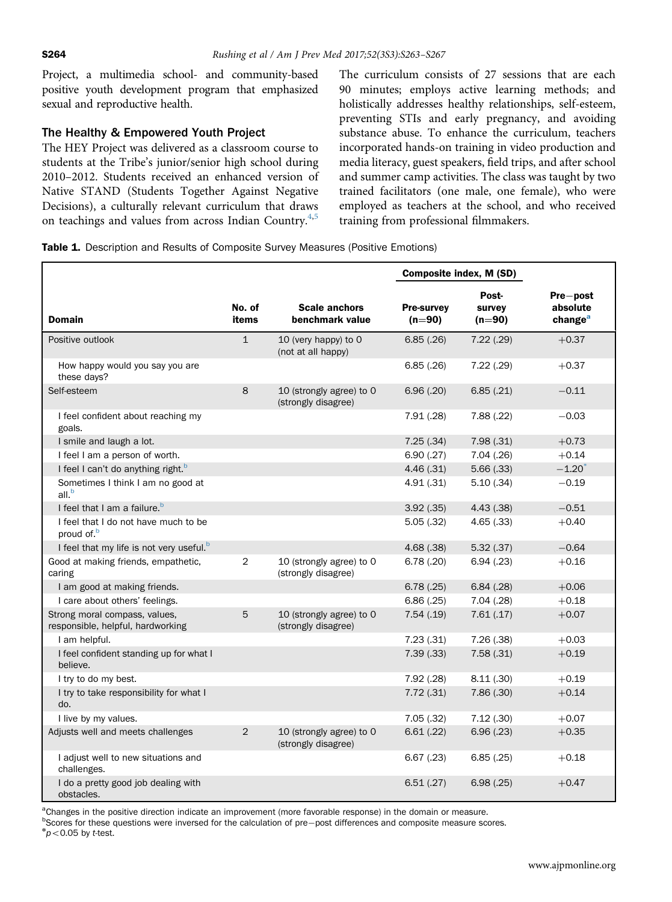<span id="page-3-0"></span>Project, a multimedia school- and community-based positive youth development program that emphasized sexual and reproductive health.

#### The Healthy & Empowered Youth Project

The HEY Project was delivered as a classroom course to students at the Tribe's junior/senior high school during 2010–2012. Students received an enhanced version of Native STAND (Students Together Against Negative Decisions), a culturally relevant curriculum that draws on teachings and values from across Indian Country.<sup>[4,5](#page-5-0)</sup>

The curriculum consists of 27 sessions that are each 90 minutes; employs active learning methods; and holistically addresses healthy relationships, self-esteem, preventing STIs and early pregnancy, and avoiding substance abuse. To enhance the curriculum, teachers incorporated hands-on training in video production and media literacy, guest speakers, field trips, and after school and summer camp activities. The class was taught by two trained facilitators (one male, one female), who were employed as teachers at the school, and who received training from professional filmmakers.

| Table 1. Description and Results of Composite Survey Measures (Positive Emotions) |  |
|-----------------------------------------------------------------------------------|--|
|-----------------------------------------------------------------------------------|--|

|                                                                    |                 |                                                 | Composite index, M (SD)       |                             |                                             |
|--------------------------------------------------------------------|-----------------|-------------------------------------------------|-------------------------------|-----------------------------|---------------------------------------------|
| <b>Domain</b>                                                      | No. of<br>items | <b>Scale anchors</b><br>benchmark value         | <b>Pre-survey</b><br>$(n=90)$ | Post-<br>survey<br>$(n=90)$ | Pre-post<br>absolute<br>change <sup>a</sup> |
| Positive outlook                                                   | $\mathbf{1}$    | 10 (very happy) to 0<br>(not at all happy)      | 6.85(.26)                     | 7.22(.29)                   | $+0.37$                                     |
| How happy would you say you are<br>these days?                     |                 |                                                 | 6.85(.26)                     | 7.22(.29)                   | $+0.37$                                     |
| Self-esteem                                                        | 8               | 10 (strongly agree) to 0<br>(strongly disagree) | 6.96(.20)                     | 6.85(.21)                   | $-0.11$                                     |
| I feel confident about reaching my<br>goals.                       |                 |                                                 | 7.91(.28)                     | 7.88(.22)                   | $-0.03$                                     |
| I smile and laugh a lot.                                           |                 |                                                 | 7.25(.34)                     | 7.98(.31)                   | $+0.73$                                     |
| I feel I am a person of worth.                                     |                 |                                                 | 6.90(.27)                     | 7.04(.26)                   | $+0.14$                                     |
| I feel I can't do anything right. <sup>b</sup>                     |                 |                                                 | 4.46(.31)                     | 5.66(.33)                   | $-1.20$ <sup>*</sup>                        |
| Sometimes I think I am no good at<br>all. <sup>b</sup>             |                 |                                                 | 4.91(.31)                     | 5.10(.34)                   | $-0.19$                                     |
| I feel that I am a failure. <sup>b</sup>                           |                 |                                                 | 3.92(.35)                     | 4.43(.38)                   | $-0.51$                                     |
| I feel that I do not have much to be<br>proud of. <sup>b</sup>     |                 |                                                 | 5.05(.32)                     | 4.65(.33)                   | $+0.40$                                     |
| I feel that my life is not very useful. <sup>b</sup>               |                 |                                                 | 4.68(.38)                     | 5.32(.37)                   | $-0.64$                                     |
| Good at making friends, empathetic,<br>caring                      | $\overline{2}$  | 10 (strongly agree) to 0<br>(strongly disagree) | 6.78(.20)                     | 6.94(0.23)                  | $+0.16$                                     |
| I am good at making friends.                                       |                 |                                                 | 6.78(.25)                     | 6.84(.28)                   | $+0.06$                                     |
| I care about others' feelings.                                     |                 |                                                 | 6.86(.25)                     | 7.04(.28)                   | $+0.18$                                     |
| Strong moral compass, values,<br>responsible, helpful, hardworking | 5               | 10 (strongly agree) to 0<br>(strongly disagree) | 7.54(.19)                     | 7.61(.17)                   | $+0.07$                                     |
| I am helpful.                                                      |                 |                                                 | 7.23(.31)                     | 7.26(.38)                   | $+0.03$                                     |
| I feel confident standing up for what I<br>believe.                |                 |                                                 | 7.39(.33)                     | 7.58(.31)                   | $+0.19$                                     |
| I try to do my best.                                               |                 |                                                 | 7.92(.28)                     | 8.11(.30)                   | $+0.19$                                     |
| I try to take responsibility for what I<br>do.                     |                 |                                                 | 7.72(.31)                     | 7.86(.30)                   | $+0.14$                                     |
| I live by my values.                                               |                 |                                                 | 7.05(.32)                     | 7.12(.30)                   | $+0.07$                                     |
| Adjusts well and meets challenges                                  | 2               | 10 (strongly agree) to 0<br>(strongly disagree) | 6.61(.22)                     | 6.96(.23)                   | $+0.35$                                     |
| I adjust well to new situations and<br>challenges.                 |                 |                                                 | $6.67$ $(.23)$                | 6.85(.25)                   | $+0.18$                                     |
| I do a pretty good job dealing with<br>obstacles.                  |                 |                                                 | 6.51(.27)                     | 6.98(.25)                   | $+0.47$                                     |

<sup>a</sup>Changes in the positive direction indicate an improvement (more favorable response) in the domain or measure.

b Scores for these questions were inversed for the calculation of pre-post differences and composite measure scores.<br>\*  $>0.05$  by t tost  $np < 0.05$  by t-test.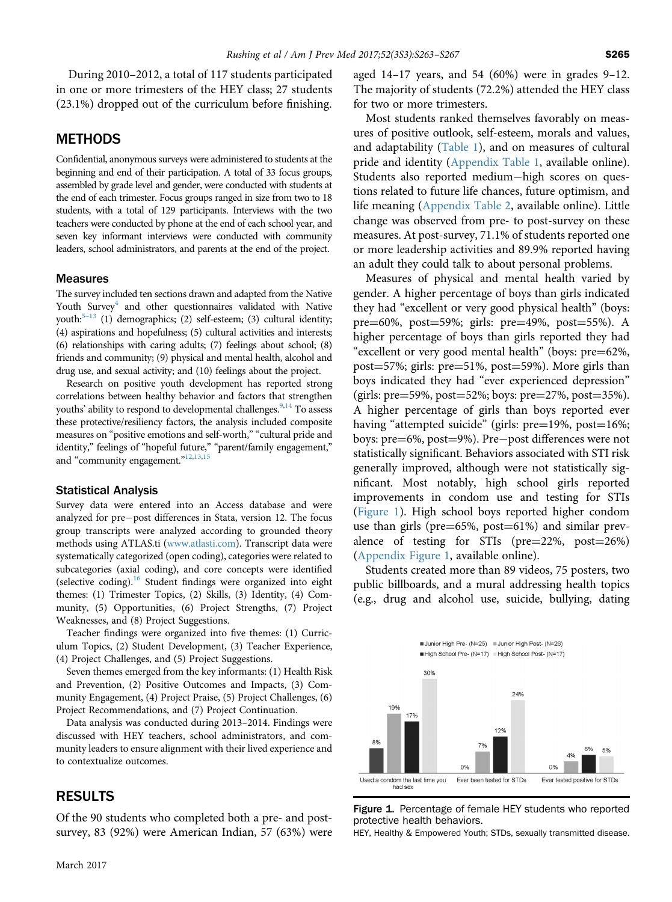During 2010–2012, a total of 117 students participated in one or more trimesters of the HEY class; 27 students (23.1%) dropped out of the curriculum before finishing.

#### **METHODS**

Confidential, anonymous surveys were administered to students at the beginning and end of their participation. A total of 33 focus groups, assembled by grade level and gender, were conducted with students at the end of each trimester. Focus groups ranged in size from two to 18 students, with a total of 129 participants. Interviews with the two teachers were conducted by phone at the end of each school year, and seven key informant interviews were conducted with community leaders, school administrators, and parents at the end of the project.

#### **Measures**

The survey included ten sections drawn and adapted from the Native Youth Survey<sup>4</sup> and other questionnaires validated with Native youth: $5-13$  $5-13$  (1) demographics; (2) self-esteem; (3) cultural identity; (4) aspirations and hopefulness; (5) cultural activities and interests; (6) relationships with caring adults; (7) feelings about school; (8) friends and community; (9) physical and mental health, alcohol and drug use, and sexual activity; and (10) feelings about the project.

Research on positive youth development has reported strong correlations between healthy behavior and factors that strengthen youths' ability to respond to developmental challenges.<sup>[9,](#page-5-0)[14](#page-6-0)</sup> To assess these protective/resiliency factors, the analysis included composite measures on "positive emotions and self-worth," "cultural pride and identity," feelings of "hopeful future," "parent/family engagement," and "community engagement."<sup>[12,13,](#page-5-0)[15](#page-6-0)</sup>

#### Statistical Analysis

Survey data were entered into an Access database and were analyzed for pre-post differences in Stata, version 12. The focus group transcripts were analyzed according to grounded theory methods using ATLAS.ti [\(www.atlasti.com](http://www.atlasti.com)). Transcript data were systematically categorized (open coding), categories were related to subcategories (axial coding), and core concepts were identified (selective coding).<sup>[16](#page-6-0)</sup> Student findings were organized into eight themes: (1) Trimester Topics, (2) Skills, (3) Identity, (4) Community, (5) Opportunities, (6) Project Strengths, (7) Project Weaknesses, and (8) Project Suggestions.

Teacher findings were organized into five themes: (1) Curriculum Topics, (2) Student Development, (3) Teacher Experience, (4) Project Challenges, and (5) Project Suggestions.

Seven themes emerged from the key informants: (1) Health Risk and Prevention, (2) Positive Outcomes and Impacts, (3) Community Engagement, (4) Project Praise, (5) Project Challenges, (6) Project Recommendations, and (7) Project Continuation.

Data analysis was conducted during 2013–2014. Findings were discussed with HEY teachers, school administrators, and community leaders to ensure alignment with their lived experience and to contextualize outcomes.

#### RESULTS

Of the 90 students who completed both a pre- and postsurvey, 83 (92%) were American Indian, 57 (63%) were aged 14–17 years, and 54 (60%) were in grades 9–12. The majority of students (72.2%) attended the HEY class for two or more trimesters.

Most students ranked themselves favorably on measures of positive outlook, self-esteem, morals and values, and adaptability ([Table 1](#page-3-0)), and on measures of cultural pride and identity [\(Appendix Table 1,](#page-5-0) available online). Students also reported medium-high scores on questions related to future life chances, future optimism, and life meaning [\(Appendix Table 2](#page-5-0), available online). Little change was observed from pre- to post-survey on these measures. At post-survey, 71.1% of students reported one or more leadership activities and 89.9% reported having an adult they could talk to about personal problems.

Measures of physical and mental health varied by gender. A higher percentage of boys than girls indicated they had "excellent or very good physical health" (boys: pre $=60\%$ , post $=59\%$ ; girls: pre $=49\%$ , post $=55\%$ ). A higher percentage of boys than girls reported they had "excellent or very good mental health" (boys:  $pre=62\%$ , post $=57\%$ ; girls: pre $=51\%$ , post $=59\%$ ). More girls than boys indicated they had "ever experienced depression" (girls: pre=59%, post=52%; boys: pre=27%, post=35%). A higher percentage of girls than boys reported ever having "attempted suicide" (girls: pre=19%, post=16%; boys: pre=6%, post=9%). Pre-post differences were not statistically significant. Behaviors associated with STI risk generally improved, although were not statistically significant. Most notably, high school girls reported improvements in condom use and testing for STIs (Figure 1). High school boys reported higher condom use than girls (pre= $65\%$ , post= $61\%$ ) and similar prevalence of testing for STIs ( $pre=22\%$ ,  $post=26\%)$ ([Appendix Figure 1,](#page-5-0) available online).

Students created more than 89 videos, 75 posters, two public billboards, and a mural addressing health topics (e.g., drug and alcohol use, suicide, bullying, dating



Figure 1. Percentage of female HEY students who reported protective health behaviors.

HEY, Healthy & Empowered Youth; STDs, sexually transmitted disease.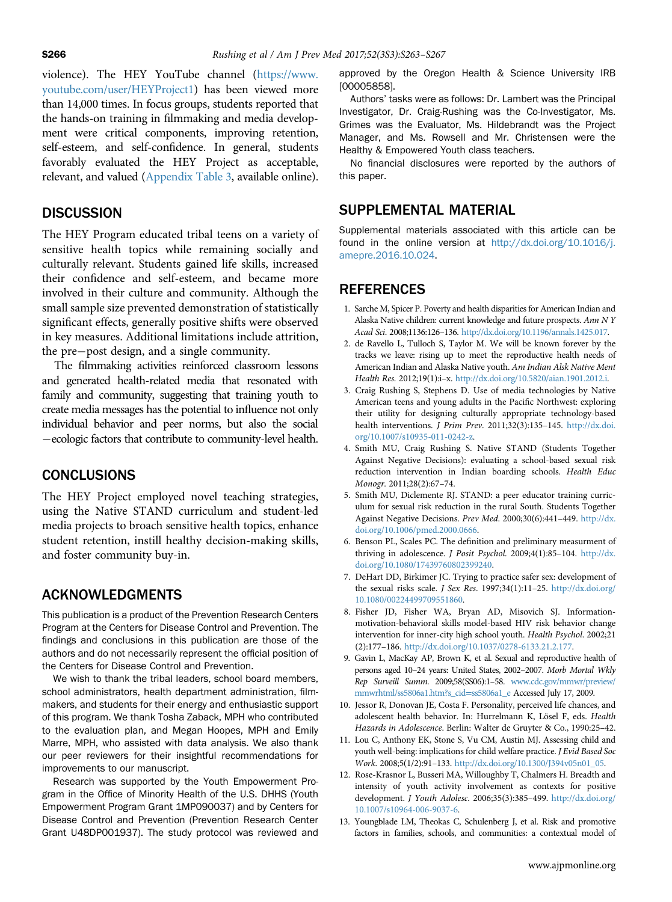<span id="page-5-0"></span>violence). The HEY YouTube channel (https://www. youtube.com/user/HEYProject1) has been viewed more than 14,000 times. In focus groups, students reported that the hands-on training in filmmaking and media development were critical components, improving retention, self-esteem, and self-confidence. In general, students favorably evaluated the HEY Project as acceptable, relevant, and valued (Appendix Table 3, available online).

#### DISCUSSION

The HEY Program educated tribal teens on a variety of sensitive health topics while remaining socially and culturally relevant. Students gained life skills, increased their confidence and self-esteem, and became more involved in their culture and community. Although the small sample size prevented demonstration of statistically significant effects, generally positive shifts were observed in key measures. Additional limitations include attrition, the pre-post design, and a single community.

The filmmaking activities reinforced classroom lessons and generated health-related media that resonated with family and community, suggesting that training youth to create media messages has the potential to influence not only individual behavior and peer norms, but also the social -ecologic factors that contribute to community-level health.

#### **CONCLUSIONS**

The HEY Project employed novel teaching strategies, using the Native STAND curriculum and student-led media projects to broach sensitive health topics, enhance student retention, instill healthy decision-making skills, and foster community buy-in.

#### ACKNOWLEDGMENTS

This publication is a product of the Prevention Research Centers Program at the Centers for Disease Control and Prevention. The findings and conclusions in this publication are those of the authors and do not necessarily represent the official position of the Centers for Disease Control and Prevention.

We wish to thank the tribal leaders, school board members, school administrators, health department administration, filmmakers, and students for their energy and enthusiastic support of this program. We thank Tosha Zaback, MPH who contributed to the evaluation plan, and Megan Hoopes, MPH and Emily Marre, MPH, who assisted with data analysis. We also thank our peer reviewers for their insightful recommendations for improvements to our manuscript.

Research was supported by the Youth Empowerment Program in the Office of Minority Health of the U.S. DHHS (Youth Empowerment Program Grant 1MP090037) and by Centers for Disease Control and Prevention (Prevention Research Center Grant U48DP001937). The study protocol was reviewed and

approved by the Oregon Health & Science University IRB [00005858].

Authors' tasks were as follows: Dr. Lambert was the Principal Investigator, Dr. Craig-Rushing was the Co-Investigator, Ms. Grimes was the Evaluator, Ms. Hildebrandt was the Project Manager, and Ms. Rowsell and Mr. Christensen were the Healthy & Empowered Youth class teachers.

No financial disclosures were reported by the authors of this paper.

#### SUPPLEMENTAL MATERIAL

Supplemental materials associated with this article can be found in the online version at [http://dx.doi.org/10.1016/j.](http://dx.doi.org/10.1016/j.amepre.2016.10.024) [amepre.2016.10.024.](http://dx.doi.org/10.1016/j.amepre.2016.10.024)

#### REFERENCES

- 1. Sarche M, Spicer P. Poverty and health disparities for American Indian and Alaska Native children: current knowledge and future prospects. Ann N Y Acad Sci. 2008;1136:126–136. [http://dx.doi.org/10.1196/annals.1425.017.](http://dx.doi.org/10.1196/annals.1425.017)
- 2. de Ravello L, Tulloch S, Taylor M. We will be known forever by the tracks we leave: rising up to meet the reproductive health needs of American Indian and Alaska Native youth. Am Indian Alsk Native Ment Health Res. 2012;19(1):i–x. [http://dx.doi.org/10.5820/aian.1901.2012.i.](http://dx.doi.org/10.5820/aian.1901.2012.i)
- 3. Craig Rushing S, Stephens D. Use of media technologies by Native American teens and young adults in the Pacific Northwest: exploring their utility for designing culturally appropriate technology-based health interventions. J Prim Prev. 2011;32(3):135–145. [http://dx.doi.](http://dx.doi.org/10.1007/s10935-011-0242-z) [org/10.1007/s10935-011-0242-z](http://dx.doi.org/10.1007/s10935-011-0242-z).
- 4. Smith MU, Craig Rushing S. Native STAND (Students Together Against Negative Decisions): evaluating a school-based sexual risk reduction intervention in Indian boarding schools. Health Educ Monogr. 2011;28(2):67–74.
- 5. Smith MU, Diclemente RJ. STAND: a peer educator training curriculum for sexual risk reduction in the rural South. Students Together Against Negative Decisions. Prev Med. 2000;30(6):441–449. [http://dx.](http://dx.doi.org/10.1006/pmed.2000.0666) [doi.org/10.1006/pmed.2000.0666](http://dx.doi.org/10.1006/pmed.2000.0666).
- 6. Benson PL, Scales PC. The definition and preliminary measurment of thriving in adolescence. J Posit Psychol. 2009;4(1):85-104. [http://dx.](http://dx.doi.org/10.1080/17439760802399240) [doi.org/10.1080/17439760802399240.](http://dx.doi.org/10.1080/17439760802399240)
- 7. DeHart DD, Birkimer JC. Trying to practice safer sex: development of the sexual risks scale. J Sex Res. 1997;34(1):11–25. [http://dx.doi.org/](http://dx.doi.org/10.1080/00224499709551860) [10.1080/00224499709551860.](http://dx.doi.org/10.1080/00224499709551860)
- 8. Fisher JD, Fisher WA, Bryan AD, Misovich SJ. Informationmotivation-behavioral skills model-based HIV risk behavior change intervention for inner-city high school youth. Health Psychol. 2002;21 (2):177–186. [http://dx.doi.org/10.1037/0278-6133.21.2.177.](http://dx.doi.org/10.1037/0278-6133.21.2.177)
- 9. Gavin L, MacKay AP, Brown K, et al. Sexual and reproductive health of persons aged 10–24 years: United States, 2002–2007. Morb Mortal Wkly Rep Surveill Summ. 2009;58(SS06):1–58. [www.cdc.gov/mmwr/preview/](http://www.cdc.gov/mmwr/preview/mmwrhtml/ss5806a1.htm?s_cid=ss5806a1_e) [mmwrhtml/ss5806a1.htm?s\\_cid](http://www.cdc.gov/mmwr/preview/mmwrhtml/ss5806a1.htm?s_cid=ss5806a1_e)=ss5806a1\_e Accessed July 17, 2009.
- 10. Jessor R, Donovan JE, Costa F. Personality, perceived life chances, and adolescent health behavior. In: Hurrelmann K, Lösel F, eds. Health Hazards in Adolescence. Berlin: Walter de Gruyter & Co., 1990:25–42.
- 11. Lou C, Anthony EK, Stone S, Vu CM, Austin MJ. Assessing child and youth well-being: implications for child welfare practice. J Evid Based Soc Work. 2008;5(1/2):91–133. [http://dx.doi.org/10.1300/J394v05n01\\_05.](http://dx.doi.org/10.1300/J394v05n01_05)
- 12. Rose-Krasnor L, Busseri MA, Willoughby T, Chalmers H. Breadth and intensity of youth activity involvement as contexts for positive development. J Youth Adolesc. 2006;35(3):385–499. [http://dx.doi.org/](http://dx.doi.org/10.1007/s10964-006-9037-6) [10.1007/s10964-006-9037-6.](http://dx.doi.org/10.1007/s10964-006-9037-6)
- 13. Youngblade LM, Theokas C, Schulenberg J, et al. Risk and promotive factors in families, schools, and communities: a contextual model of